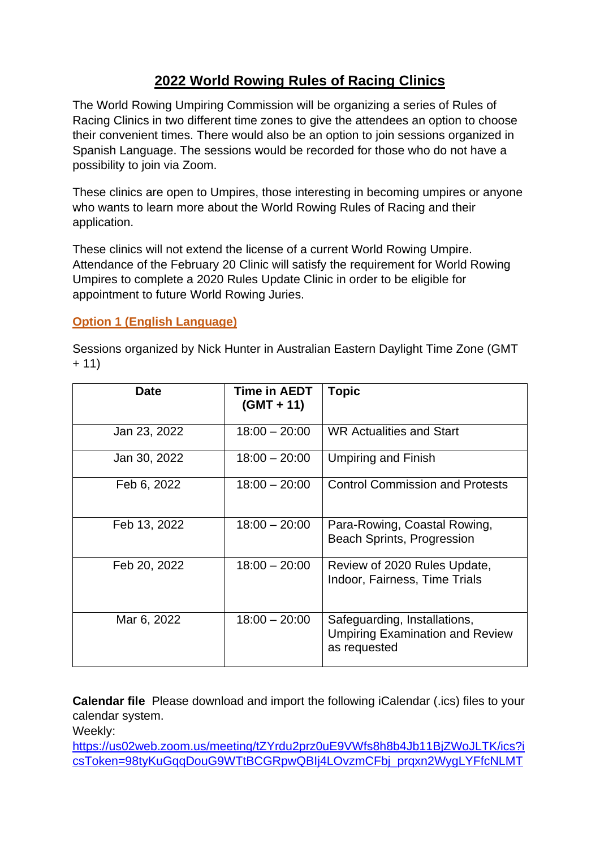# **2022 World Rowing Rules of Racing Clinics**

The World Rowing Umpiring Commission will be organizing a series of Rules of Racing Clinics in two different time zones to give the attendees an option to choose their convenient times. There would also be an option to join sessions organized in Spanish Language. The sessions would be recorded for those who do not have a possibility to join via Zoom.

These clinics are open to Umpires, those interesting in becoming umpires or anyone who wants to learn more about the World Rowing Rules of Racing and their application.

These clinics will not extend the license of a current World Rowing Umpire. Attendance of the February 20 Clinic will satisfy the requirement for World Rowing Umpires to complete a 2020 Rules Update Clinic in order to be eligible for appointment to future World Rowing Juries.

## **Option 1 (English Language)**

Sessions organized by Nick Hunter in Australian Eastern Daylight Time Zone (GMT  $+ 11)$ 

| <b>Date</b>  | Time in AEDT<br>$(GMT + 11)$ | <b>Topic</b>                                                                           |
|--------------|------------------------------|----------------------------------------------------------------------------------------|
| Jan 23, 2022 | $18:00 - 20:00$              | <b>WR Actualities and Start</b>                                                        |
| Jan 30, 2022 | $18:00 - 20:00$              | <b>Umpiring and Finish</b>                                                             |
| Feb 6, 2022  | $18:00 - 20:00$              | <b>Control Commission and Protests</b>                                                 |
| Feb 13, 2022 | $18:00 - 20:00$              | Para-Rowing, Coastal Rowing,<br><b>Beach Sprints, Progression</b>                      |
| Feb 20, 2022 | $18:00 - 20:00$              | Review of 2020 Rules Update,<br>Indoor, Fairness, Time Trials                          |
| Mar 6, 2022  | $18:00 - 20:00$              | Safeguarding, Installations,<br><b>Umpiring Examination and Review</b><br>as requested |

**Calendar file** Please download and import the following iCalendar (.ics) files to your calendar system.

Weekly:

[https://us02web.zoom.us/meeting/tZYrdu2prz0uE9VWfs8h8b4Jb11BjZWoJLTK/ics?i](https://us02web.zoom.us/meeting/tZYrdu2prz0uE9VWfs8h8b4Jb11BjZWoJLTK/ics?icsToken=98tyKuGqqDouG9WTtBCGRpwQBIj4LOvzmCFbj_prqxn2WygLYFfcNLMTELhFJ9f6) [csToken=98tyKuGqqDouG9WTtBCGRpwQBIj4LOvzmCFbj\\_prqxn2WygLYFfcNLMT](https://us02web.zoom.us/meeting/tZYrdu2prz0uE9VWfs8h8b4Jb11BjZWoJLTK/ics?icsToken=98tyKuGqqDouG9WTtBCGRpwQBIj4LOvzmCFbj_prqxn2WygLYFfcNLMTELhFJ9f6)